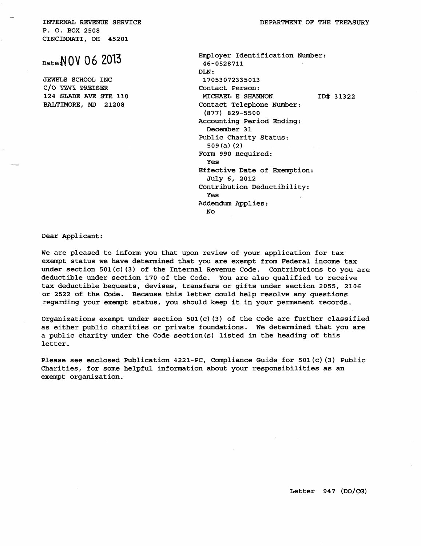INTERNAL REVENUE SERVICE P. 0. BOX 2508 CINCINNATI, OH 45201

## DateN **QV 06 2013**

JEWELS SCHOOL INC C/O TZVI PREISER 124 SLADE AVE STE 110 BALTIMORE, MD 21208

DEPARTMENT OF THE TREASURY

Employer Identification Number: 46-0528711  $DT.N.$ 17053072335013 Contact Person: MICHAEL E SHANNON Contact Telephone Number: (877) 829-5500 Accounting Period Ending: December 31 Public Charity Status: 509 (a) (2} Form 990 Required: Yes Effective Date of Exemption: July 6, 2012 Contribution Deductibility: Yes Addendum Applies: No ID# 31322

Dear Applicant:

We are pleased to inform you that upon review of your application for tax exempt status we have determined that you are exempt from Federal income tax under section  $501(c)$  (3) of the Internal Revenue Code. Contributions to you are deductible under section 170 of the Code. You are also qualified to receive tax deductible bequests, devises, transfers or gifts under section 2055, 2106 or 2522 of the Code. Because this letter could help resolve any questions regarding your exempt status, you should keep it in your permanent records.

Organizations exempt under section  $501(c)$  (3) of the Code are further classified as either public charities or private foundations. we determined that you are a public charity under the Code section{s) listed in the heading of this letter.

Please see enclosed Publication 4221-PC, Compliance Guide for 501(c) (3) Public Charities, for some helpful information about your responsibilities as an exempt organization.